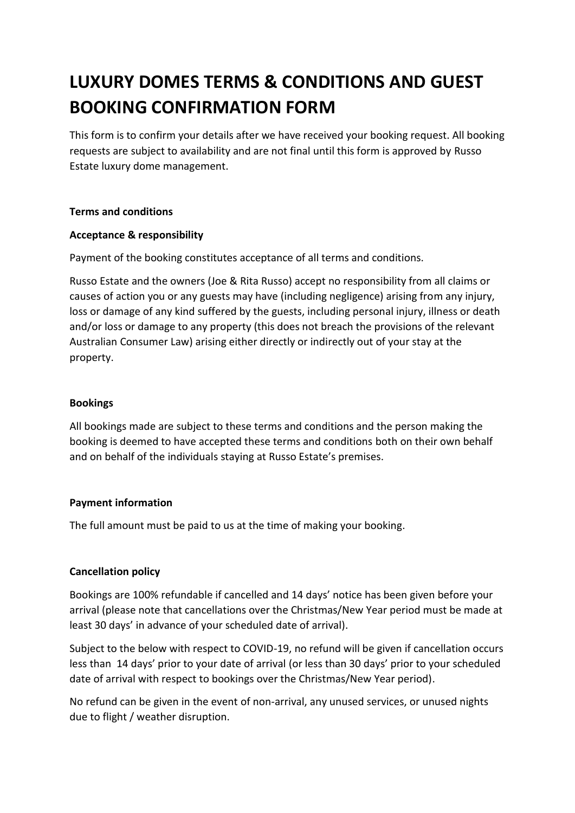# **LUXURY DOMES TERMS & CONDITIONS AND GUEST BOOKING CONFIRMATION FORM**

This form is to confirm your details after we have received your booking request. All booking requests are subject to availability and are not final until this form is approved by Russo Estate luxury dome management.

## **Terms and conditions**

## **Acceptance & responsibility**

Payment of the booking constitutes acceptance of all terms and conditions.

Russo Estate and the owners (Joe & Rita Russo) accept no responsibility from all claims or causes of action you or any guests may have (including negligence) arising from any injury, loss or damage of any kind suffered by the guests, including personal injury, illness or death and/or loss or damage to any property (this does not breach the provisions of the relevant Australian Consumer Law) arising either directly or indirectly out of your stay at the property.

## **Bookings**

All bookings made are subject to these terms and conditions and the person making the booking is deemed to have accepted these terms and conditions both on their own behalf and on behalf of the individuals staying at Russo Estate's premises.

## **Payment information**

The full amount must be paid to us at the time of making your booking.

## **Cancellation policy**

Bookings are 100% refundable if cancelled and 14 days' notice has been given before your arrival (please note that cancellations over the Christmas/New Year period must be made at least 30 days' in advance of your scheduled date of arrival).

Subject to the below with respect to COVID-19, no refund will be given if cancellation occurs less than 14 days' prior to your date of arrival (or less than 30 days' prior to your scheduled date of arrival with respect to bookings over the Christmas/New Year period).

No refund can be given in the event of non-arrival, any unused services, or unused nights due to flight / weather disruption.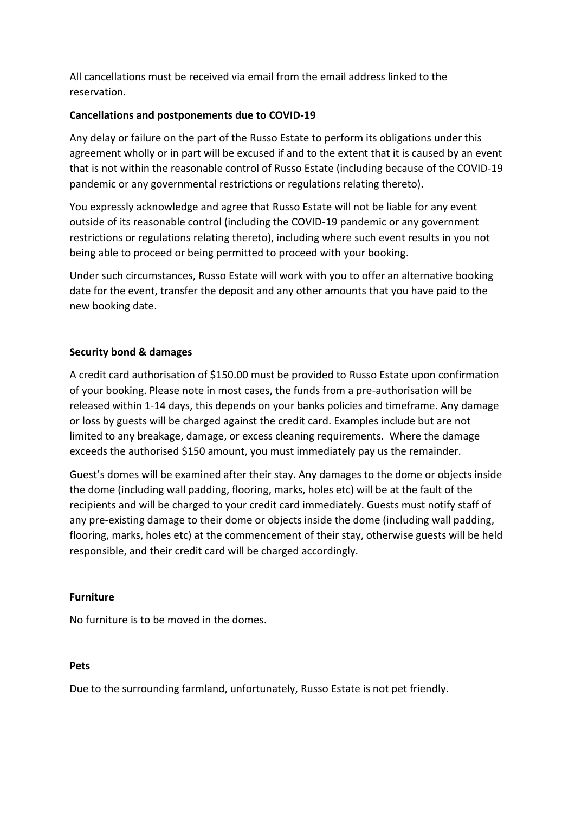All cancellations must be received via email from the email address linked to the reservation.

## **Cancellations and postponements due to COVID-19**

Any delay or failure on the part of the Russo Estate to perform its obligations under this agreement wholly or in part will be excused if and to the extent that it is caused by an event that is not within the reasonable control of Russo Estate (including because of the COVID-19 pandemic or any governmental restrictions or regulations relating thereto).

You expressly acknowledge and agree that Russo Estate will not be liable for any event outside of its reasonable control (including the COVID-19 pandemic or any government restrictions or regulations relating thereto), including where such event results in you not being able to proceed or being permitted to proceed with your booking.

Under such circumstances, Russo Estate will work with you to offer an alternative booking date for the event, transfer the deposit and any other amounts that you have paid to the new booking date.

## **Security bond & damages**

A credit card authorisation of \$150.00 must be provided to Russo Estate upon confirmation of your booking. Please note in most cases, the funds from a pre-authorisation will be released within 1-14 days, this depends on your banks policies and timeframe. Any damage or loss by guests will be charged against the credit card. Examples include but are not limited to any breakage, damage, or excess cleaning requirements. Where the damage exceeds the authorised \$150 amount, you must immediately pay us the remainder.

Guest's domes will be examined after their stay. Any damages to the dome or objects inside the dome (including wall padding, flooring, marks, holes etc) will be at the fault of the recipients and will be charged to your credit card immediately. Guests must notify staff of any pre-existing damage to their dome or objects inside the dome (including wall padding, flooring, marks, holes etc) at the commencement of their stay, otherwise guests will be held responsible, and their credit card will be charged accordingly.

#### **Furniture**

No furniture is to be moved in the domes.

#### **Pets**

Due to the surrounding farmland, unfortunately, Russo Estate is not pet friendly.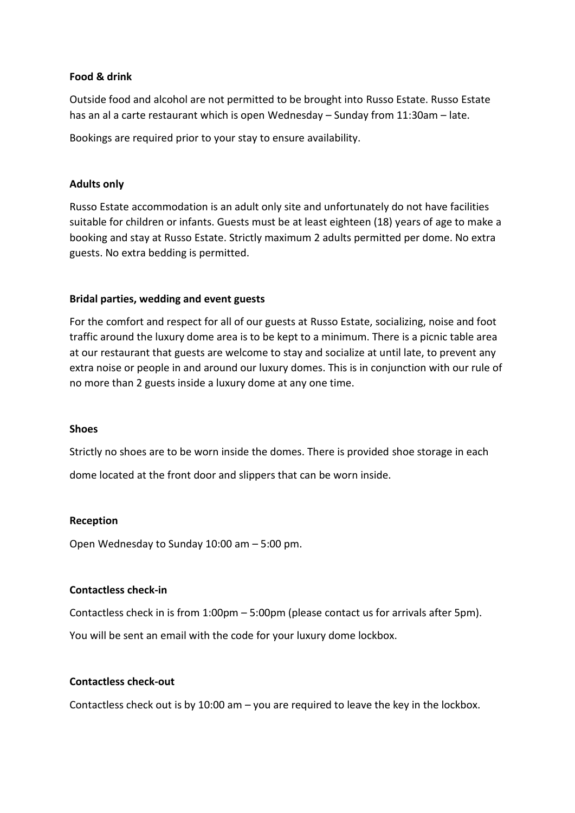## **Food & drink**

Outside food and alcohol are not permitted to be brought into Russo Estate. Russo Estate has an al a carte restaurant which is open Wednesday – Sunday from 11:30am – late.

Bookings are required prior to your stay to ensure availability.

#### **Adults only**

Russo Estate accommodation is an adult only site and unfortunately do not have facilities suitable for children or infants. Guests must be at least eighteen (18) years of age to make a booking and stay at Russo Estate. Strictly maximum 2 adults permitted per dome. No extra guests. No extra bedding is permitted.

## **Bridal parties, wedding and event guests**

For the comfort and respect for all of our guests at Russo Estate, socializing, noise and foot traffic around the luxury dome area is to be kept to a minimum. There is a picnic table area at our restaurant that guests are welcome to stay and socialize at until late, to prevent any extra noise or people in and around our luxury domes. This is in conjunction with our rule of no more than 2 guests inside a luxury dome at any one time.

#### **Shoes**

Strictly no shoes are to be worn inside the domes. There is provided shoe storage in each dome located at the front door and slippers that can be worn inside.

#### **Reception**

Open Wednesday to Sunday 10:00 am – 5:00 pm.

## **Contactless check-in**

Contactless check in is from 1:00pm – 5:00pm (please contact us for arrivals after 5pm). You will be sent an email with the code for your luxury dome lockbox.

#### **Contactless check-out**

Contactless check out is by 10:00 am – you are required to leave the key in the lockbox.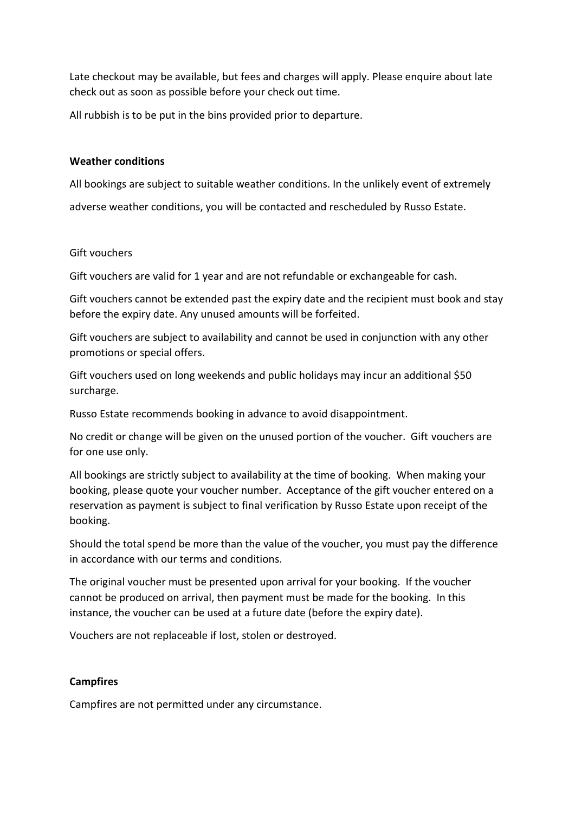Late checkout may be available, but fees and charges will apply. Please enquire about late check out as soon as possible before your check out time.

All rubbish is to be put in the bins provided prior to departure.

#### **Weather conditions**

All bookings are subject to suitable weather conditions. In the unlikely event of extremely adverse weather conditions, you will be contacted and rescheduled by Russo Estate.

#### Gift vouchers

Gift vouchers are valid for 1 year and are not refundable or exchangeable for cash.

Gift vouchers cannot be extended past the expiry date and the recipient must book and stay before the expiry date. Any unused amounts will be forfeited.

Gift vouchers are subject to availability and cannot be used in conjunction with any other promotions or special offers.

Gift vouchers used on long weekends and public holidays may incur an additional \$50 surcharge.

Russo Estate recommends booking in advance to avoid disappointment.

No credit or change will be given on the unused portion of the voucher. Gift vouchers are for one use only.

All bookings are strictly subject to availability at the time of booking. When making your booking, please quote your voucher number. Acceptance of the gift voucher entered on a reservation as payment is subject to final verification by Russo Estate upon receipt of the booking.

Should the total spend be more than the value of the voucher, you must pay the difference in accordance with our terms and conditions.

The original voucher must be presented upon arrival for your booking. If the voucher cannot be produced on arrival, then payment must be made for the booking. In this instance, the voucher can be used at a future date (before the expiry date).

Vouchers are not replaceable if lost, stolen or destroyed.

#### **Campfires**

Campfires are not permitted under any circumstance.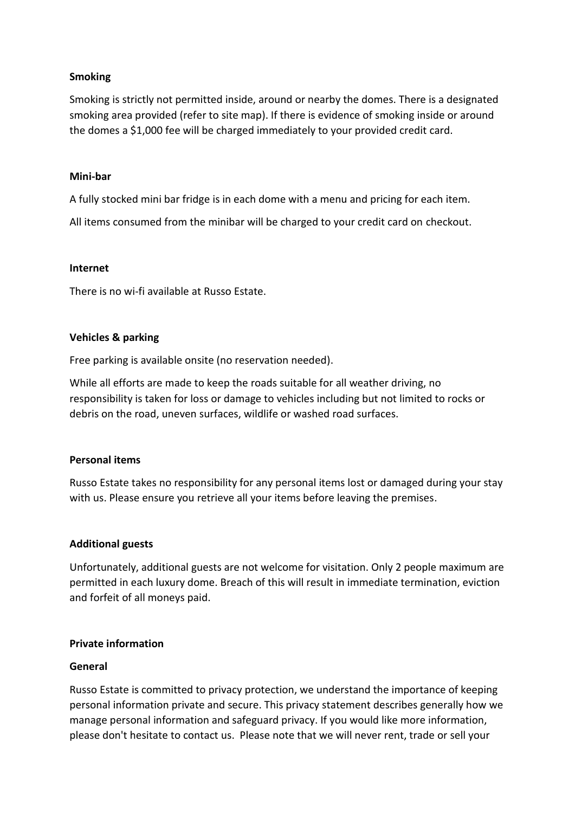## **Smoking**

Smoking is strictly not permitted inside, around or nearby the domes. There is a designated smoking area provided (refer to site map). If there is evidence of smoking inside or around the domes a \$1,000 fee will be charged immediately to your provided credit card.

#### **Mini-bar**

A fully stocked mini bar fridge is in each dome with a menu and pricing for each item.

All items consumed from the minibar will be charged to your credit card on checkout.

#### **Internet**

There is no wi-fi available at Russo Estate.

## **Vehicles & parking**

Free parking is available onsite (no reservation needed).

While all efforts are made to keep the roads suitable for all weather driving, no responsibility is taken for loss or damage to vehicles including but not limited to rocks or debris on the road, uneven surfaces, wildlife or washed road surfaces.

## **Personal items**

Russo Estate takes no responsibility for any personal items lost or damaged during your stay with us. Please ensure you retrieve all your items before leaving the premises.

#### **Additional guests**

Unfortunately, additional guests are not welcome for visitation. Only 2 people maximum are permitted in each luxury dome. Breach of this will result in immediate termination, eviction and forfeit of all moneys paid.

#### **Private information**

#### **General**

Russo Estate is committed to privacy protection, we understand the importance of keeping personal information private and secure. This privacy statement describes generally how we manage personal information and safeguard privacy. If you would like more information, please don't hesitate to contact us. Please note that we will never rent, trade or sell your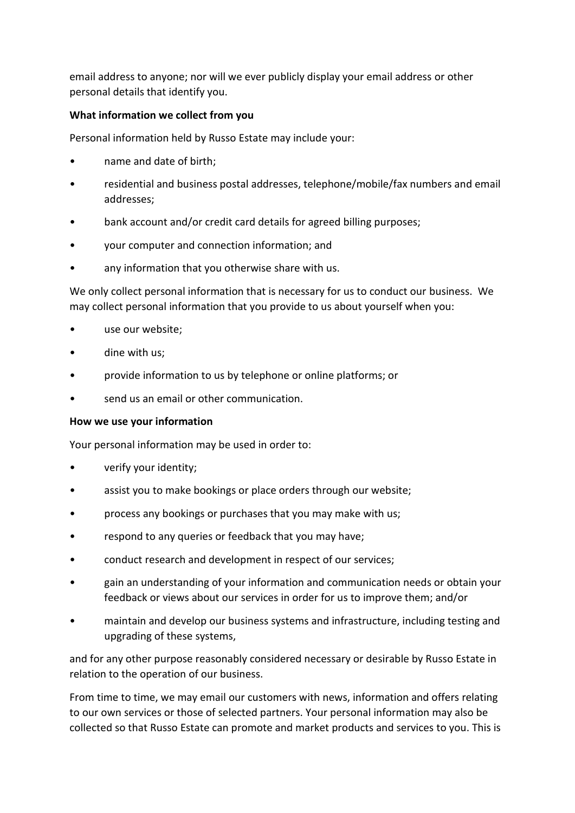email address to anyone; nor will we ever publicly display your email address or other personal details that identify you.

## **What information we collect from you**

Personal information held by Russo Estate may include your:

- name and date of birth;
- residential and business postal addresses, telephone/mobile/fax numbers and email addresses;
- bank account and/or credit card details for agreed billing purposes;
- your computer and connection information; and
- any information that you otherwise share with us.

We only collect personal information that is necessary for us to conduct our business. We may collect personal information that you provide to us about yourself when you:

- use our website;
- dine with us;
- provide information to us by telephone or online platforms; or
- send us an email or other communication.

#### **How we use your information**

Your personal information may be used in order to:

- verify your identity;
- assist you to make bookings or place orders through our website;
- process any bookings or purchases that you may make with us;
- respond to any queries or feedback that you may have;
- conduct research and development in respect of our services;
- gain an understanding of your information and communication needs or obtain your feedback or views about our services in order for us to improve them; and/or
- maintain and develop our business systems and infrastructure, including testing and upgrading of these systems,

and for any other purpose reasonably considered necessary or desirable by Russo Estate in relation to the operation of our business.

From time to time, we may email our customers with news, information and offers relating to our own services or those of selected partners. Your personal information may also be collected so that Russo Estate can promote and market products and services to you. This is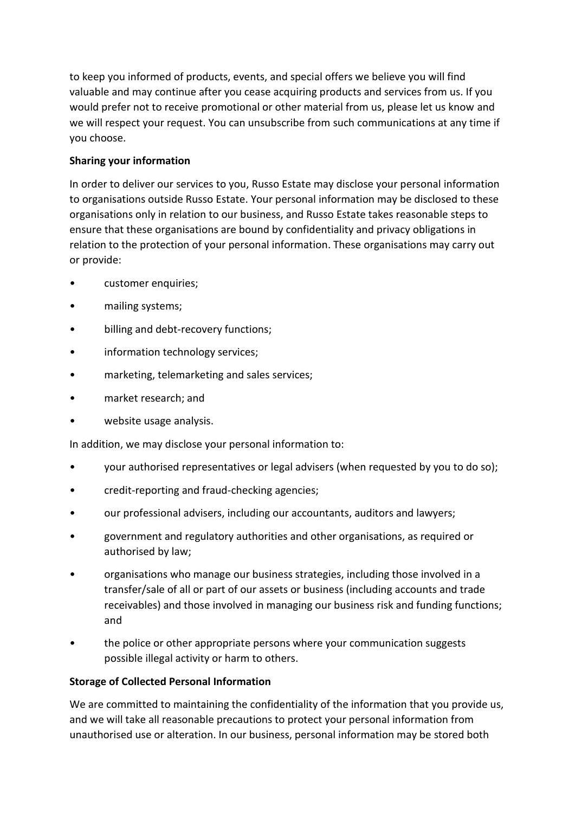to keep you informed of products, events, and special offers we believe you will find valuable and may continue after you cease acquiring products and services from us. If you would prefer not to receive promotional or other material from us, please let us know and we will respect your request. You can unsubscribe from such communications at any time if you choose.

# **Sharing your information**

In order to deliver our services to you, Russo Estate may disclose your personal information to organisations outside Russo Estate. Your personal information may be disclosed to these organisations only in relation to our business, and Russo Estate takes reasonable steps to ensure that these organisations are bound by confidentiality and privacy obligations in relation to the protection of your personal information. These organisations may carry out or provide:

- customer enquiries;
- mailing systems;
- billing and debt-recovery functions;
- information technology services;
- marketing, telemarketing and sales services;
- market research; and
- website usage analysis.

In addition, we may disclose your personal information to:

- your authorised representatives or legal advisers (when requested by you to do so);
- credit-reporting and fraud-checking agencies;
- our professional advisers, including our accountants, auditors and lawyers;
- government and regulatory authorities and other organisations, as required or authorised by law;
- organisations who manage our business strategies, including those involved in a transfer/sale of all or part of our assets or business (including accounts and trade receivables) and those involved in managing our business risk and funding functions; and
- the police or other appropriate persons where your communication suggests possible illegal activity or harm to others.

## **Storage of Collected Personal Information**

We are committed to maintaining the confidentiality of the information that you provide us, and we will take all reasonable precautions to protect your personal information from unauthorised use or alteration. In our business, personal information may be stored both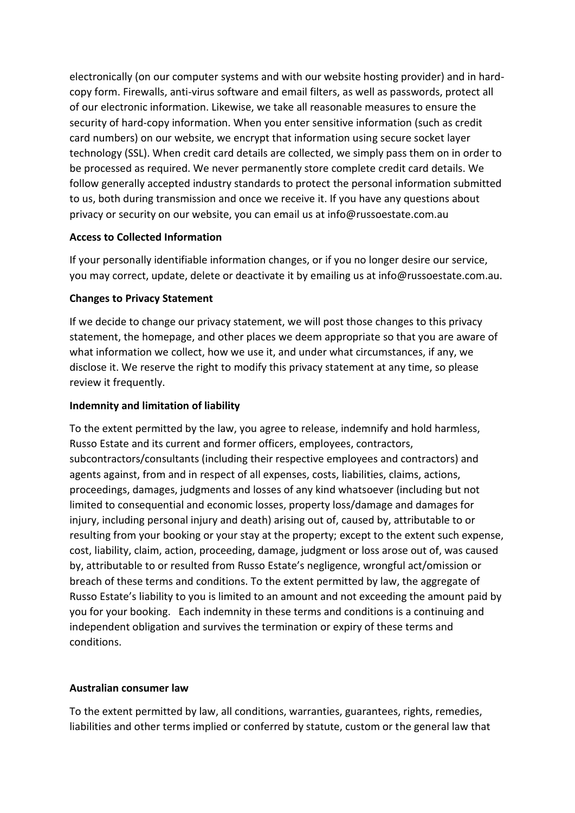electronically (on our computer systems and with our website hosting provider) and in hardcopy form. Firewalls, anti-virus software and email filters, as well as passwords, protect all of our electronic information. Likewise, we take all reasonable measures to ensure the security of hard-copy information. When you enter sensitive information (such as credit card numbers) on our website, we encrypt that information using secure socket layer technology (SSL). When credit card details are collected, we simply pass them on in order to be processed as required. We never permanently store complete credit card details. We follow generally accepted industry standards to protect the personal information submitted to us, both during transmission and once we receive it. If you have any questions about privacy or security on our website, you can email us at info@russoestate.com.au

## **Access to Collected Information**

If your personally identifiable information changes, or if you no longer desire our service, you may correct, update, delete or deactivate it by emailing us at info@russoestate.com.au.

# **Changes to Privacy Statement**

If we decide to change our privacy statement, we will post those changes to this privacy statement, the homepage, and other places we deem appropriate so that you are aware of what information we collect, how we use it, and under what circumstances, if any, we disclose it. We reserve the right to modify this privacy statement at any time, so please review it frequently.

# **Indemnity and limitation of liability**

To the extent permitted by the law, you agree to release, indemnify and hold harmless, Russo Estate and its current and former officers, employees, contractors, subcontractors/consultants (including their respective employees and contractors) and agents against, from and in respect of all expenses, costs, liabilities, claims, actions, proceedings, damages, judgments and losses of any kind whatsoever (including but not limited to consequential and economic losses, property loss/damage and damages for injury, including personal injury and death) arising out of, caused by, attributable to or resulting from your booking or your stay at the property; except to the extent such expense, cost, liability, claim, action, proceeding, damage, judgment or loss arose out of, was caused by, attributable to or resulted from Russo Estate's negligence, wrongful act/omission or breach of these terms and conditions. To the extent permitted by law, the aggregate of Russo Estate's liability to you is limited to an amount and not exceeding the amount paid by you for your booking. Each indemnity in these terms and conditions is a continuing and independent obligation and survives the termination or expiry of these terms and conditions.

## **Australian consumer law**

To the extent permitted by law, all conditions, warranties, guarantees, rights, remedies, liabilities and other terms implied or conferred by statute, custom or the general law that